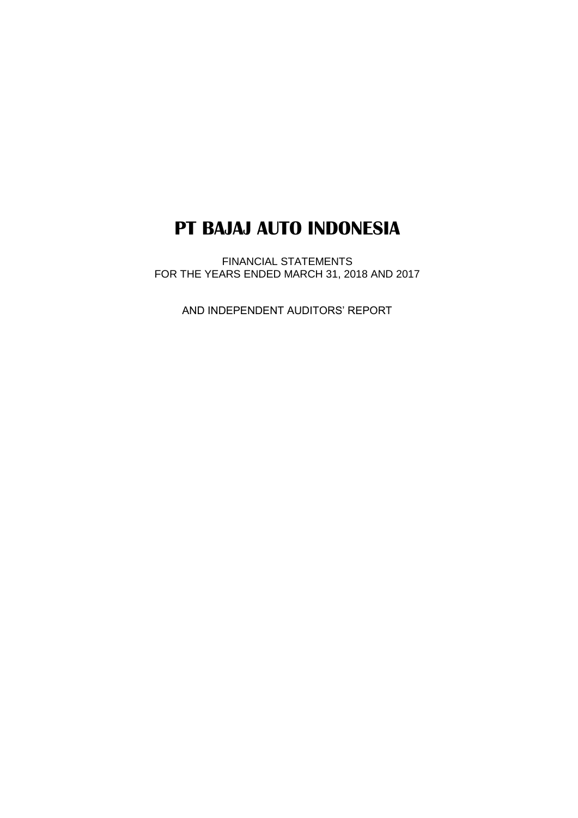FINANCIAL STATEMENTS FOR THE YEARS ENDED MARCH 31, 2018 AND 2017

AND INDEPENDENT AUDITORS' REPORT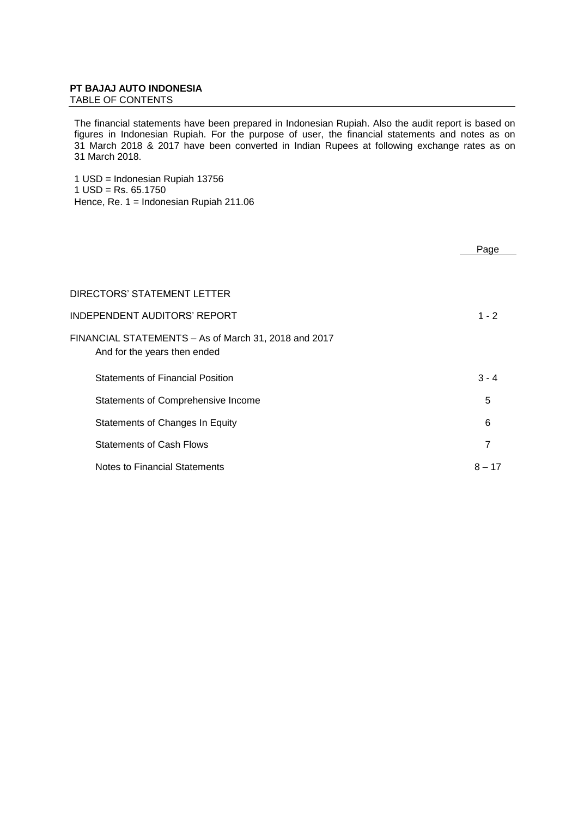TABLE OF CONTENTS

The financial statements have been prepared in Indonesian Rupiah. Also the audit report is based on figures in Indonesian Rupiah. For the purpose of user, the financial statements and notes as on 31 March 2018 & 2017 have been converted in Indian Rupees at following exchange rates as on 31 March 2018.

1 USD = Indonesian Rupiah 13756  $1$  USD = Rs. 65.1750 Hence, Re. 1 = Indonesian Rupiah 211.06

|                                                                                      | Page     |
|--------------------------------------------------------------------------------------|----------|
|                                                                                      |          |
| DIRECTORS' STATEMENT LETTER                                                          |          |
| INDEPENDENT AUDITORS' REPORT                                                         | $1 - 2$  |
| FINANCIAL STATEMENTS - As of March 31, 2018 and 2017<br>And for the years then ended |          |
| <b>Statements of Financial Position</b>                                              | $3 - 4$  |
| Statements of Comprehensive Income                                                   | 5        |
| Statements of Changes In Equity                                                      | 6        |
| <b>Statements of Cash Flows</b>                                                      | 7        |
| Notes to Financial Statements                                                        | $8 - 17$ |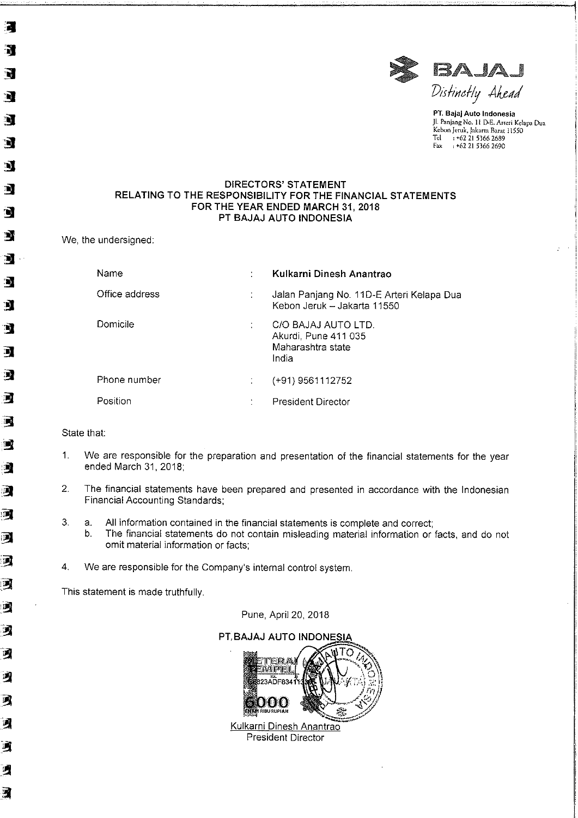

PT. Bajaj Auto Indonesia Jl. Panjang No. 11 D-E. Arteri Kelapa Dua Kebon Jeruk, Jakarta Barat 11550<br>Tel : +62 21 5366 2689<br>Fax : +62 21 5366 2690

#### **DIRECTORS' STATEMENT** RELATING TO THE RESPONSIBILITY FOR THE FINANCIAL STATEMENTS FOR THE YEAR ENDED MARCH 31, 2018 PT BAJAJ AUTO INDONESIA

We, the undersigned:

濱

R

 $\overline{\mathbf{u}}$ 

È.

ष

'N)

N

q

T,

Э

DI

 $\bullet$ 

N

Ŋ

E.

演

圃

雪

 $\mathbb{Z}$ 

A

 $\mathbf{Z}$ 

 $\mathbf{u}$ 

 $\overline{\mathbf{M}}$ 

司

9

习

习

习

习

刁

Β

河

咧

E)

| Name           | ٠         | Kulkarni Dinesh Anantrao                                                  |
|----------------|-----------|---------------------------------------------------------------------------|
| Office address |           | Jalan Panjang No. 11D-E Arteri Kelapa Dua<br>Kebon Jeruk - Jakarta 11550  |
| Domicile       | t         | C/O BAJAJ AUTO LTD.<br>Akurdi, Pune 411 035<br>Maharashtra state<br>India |
| Phone number   |           | (+91) 9561112752                                                          |
| Position       | $\bullet$ | President Director                                                        |

State that:

- $1.$ We are responsible for the preparation and presentation of the financial statements for the year ended March 31, 2018;
- $2.$ The financial statements have been prepared and presented in accordance with the Indonesian Financial Accounting Standards;
- 3. a. All information contained in the financial statements is complete and correct;
	- $b.$ The financial statements do not contain misleading material information or facts, and do not omit material information or facts;
- 4. We are responsible for the Company's internal control system.

This statement is made truthfully.

Pune, April 20, 2018

PT, BAJAJ AUTO INDONESIA



President Director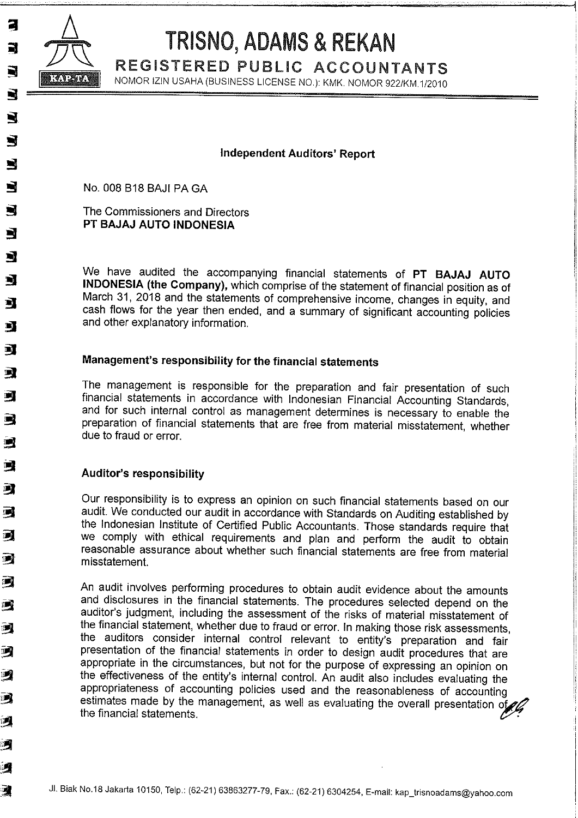

3

 $\blacksquare$ 

R

Ŋ

D

Ŋ

 $\blacksquare$ 

 $\Box$ 

Ŋ

E)

耳

B

马

呵

雪

9

河

圜

**DE** 

T

呵

吗

國

T.

2

呵

习

i J

# TRISNO, ADAMS & REKAN

REGISTERED PUBLIC ACCOUNTANTS

NOMOR IZIN USAHA (BUSINESS LICENSE NO.): KMK. NOMOR 922/KM.1/2010

## **Independent Auditors' Report**

No. 008 B18 BAJI PA GA

The Commissioners and Directors PT BAJAJ AUTO INDONESIA

We have audited the accompanying financial statements of PT BAJAJ AUTO INDONESIA (the Company), which comprise of the statement of financial position as of March 31, 2018 and the statements of comprehensive income, changes in equity, and cash flows for the year then ended, and a summary of significant accounting policies and other explanatory information.

## Management's responsibility for the financial statements

The management is responsible for the preparation and fair presentation of such financial statements in accordance with Indonesian Financial Accounting Standards, and for such internal control as management determines is necessary to enable the preparation of financial statements that are free from material misstatement, whether due to fraud or error.

## Auditor's responsibility

Our responsibility is to express an opinion on such financial statements based on our audit. We conducted our audit in accordance with Standards on Auditing established by the Indonesian Institute of Certified Public Accountants. Those standards require that we comply with ethical requirements and plan and perform the audit to obtain reasonable assurance about whether such financial statements are free from material misstatement.

An audit involves performing procedures to obtain audit evidence about the amounts and disclosures in the financial statements. The procedures selected depend on the auditor's judgment, including the assessment of the risks of material misstatement of the financial statement, whether due to fraud or error. In making those risk assessments, the auditors consider internal control relevant to entity's preparation and fair presentation of the financial statements in order to design audit procedures that are appropriate in the circumstances, but not for the purpose of expressing an opinion on the effectiveness of the entity's internal control. An audit also includes evaluating the appropriateness of accounting policies used and the reasonableness of accounting estimates made by the management, as well as evaluating the overall presentation of the financial statements.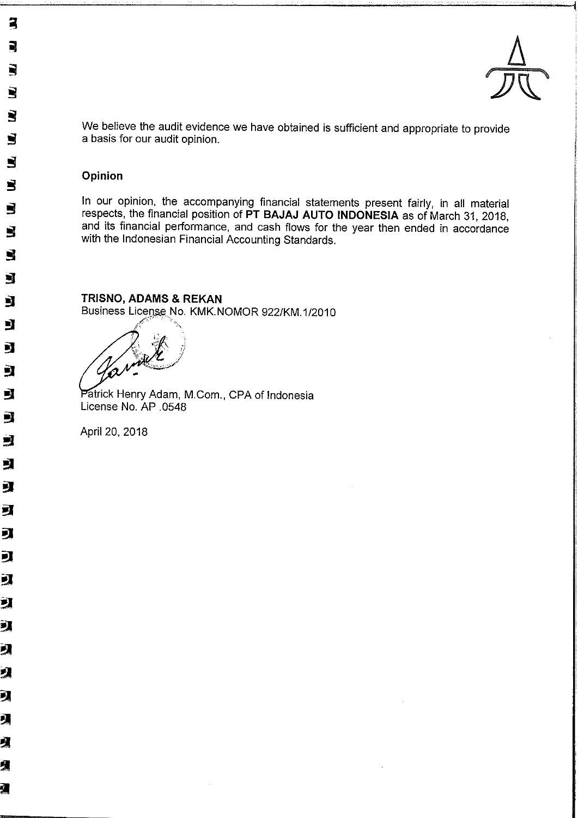

We believe the audit evidence we have obtained is sufficient and appropriate to provide a basis for our audit opinion.

## Opinion

3

R

N

Š

Š

 $\blacksquare$ 

Š

 $\overline{\mathbf{S}}$ 

Š

 $\blacksquare$ 

 $\blacksquare$ 

 $\blacksquare$ 

Ŋ

國

Ŋ

È,

虱

國

 $\blacksquare$ 

의

可

虱

J

피

豇

氯

习

Я

2

习

贝

贝

1

ł

In our opinion, the accompanying financial statements present fairly, in all material respects, the financial position of PT BAJAJ AUTO INDONESIA as of March 31, 2018, and its financial performance, and cash flows for the year then ended in accordance with the Indonesian Financial Accounting Standards.

TRISNO, ADAMS & REKAN Business License No. KMK.NOMOR 922/KM.1/2010

Patrick Henry Adam, M.Com., CPA of Indonesia License No. AP .0548

April 20, 2018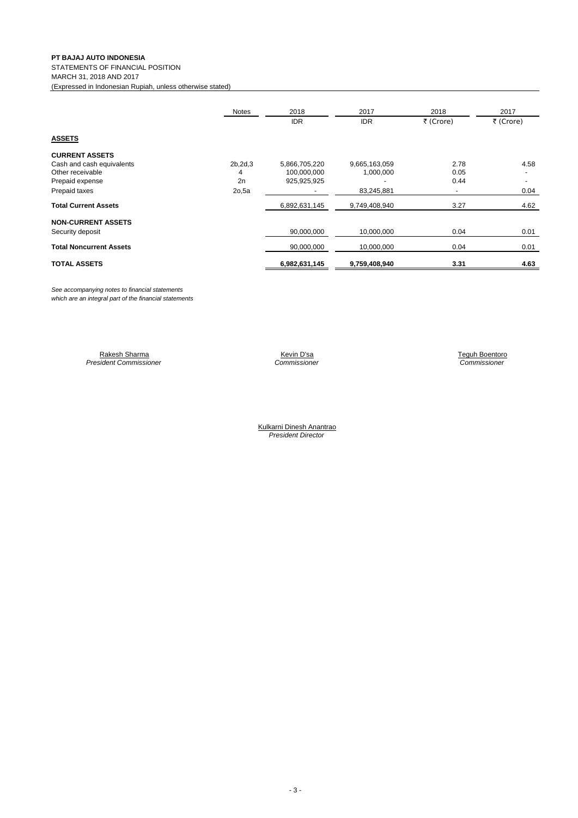STATEMENTS OF FINANCIAL POSITION MARCH 31, 2018 AND 2017

(Expressed in Indonesian Rupiah, unless otherwise stated)

|                                | Notes     | 2018          | 2017          | 2018                     | 2017      |
|--------------------------------|-----------|---------------|---------------|--------------------------|-----------|
|                                |           | <b>IDR</b>    | <b>IDR</b>    | ₹ (Crore)                | ₹ (Crore) |
| <b>ASSETS</b>                  |           |               |               |                          |           |
| <b>CURRENT ASSETS</b>          |           |               |               |                          |           |
| Cash and cash equivalents      | 2b, 2d, 3 | 5,866,705,220 | 9,665,163,059 | 2.78                     | 4.58      |
| Other receivable               | 4         | 100,000,000   | 1,000,000     | 0.05                     |           |
| Prepaid expense                | 2n        | 925,925,925   |               | 0.44                     |           |
| Prepaid taxes                  | 2o,5a     |               | 83,245,881    | $\overline{\phantom{a}}$ | 0.04      |
| <b>Total Current Assets</b>    |           | 6,892,631,145 | 9,749,408,940 | 3.27                     | 4.62      |
| <b>NON-CURRENT ASSETS</b>      |           |               |               |                          |           |
| Security deposit               |           | 90,000,000    | 10,000,000    | 0.04                     | 0.01      |
| <b>Total Noncurrent Assets</b> |           | 90,000,000    | 10,000,000    | 0.04                     | 0.01      |
| <b>TOTAL ASSETS</b>            |           | 6,982,631,145 | 9,759,408,940 | 3.31                     | 4.63      |

*See accompanying notes to financial statements which are an integral part of the financial statements*

> Rakesh Sharma Kevin D'sa Navarra Kevin D'sa Navarra Kevin D'sa Navarra Teguh Boentoro *President Commissioner Commissioner Commissioner*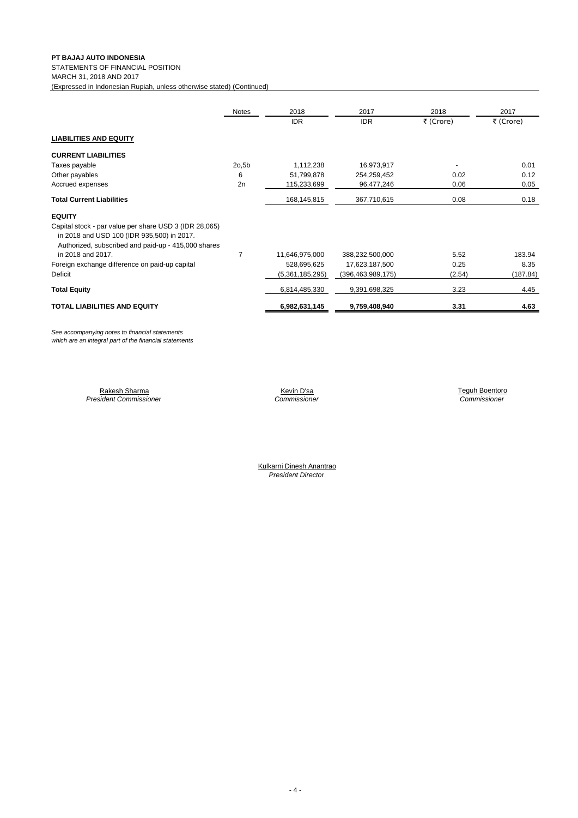STATEMENTS OF FINANCIAL POSITION

MARCH 31, 2018 AND 2017

(Expressed in Indonesian Rupiah, unless otherwise stated) (Continued)

|                                                                                                                                                             | Notes          | 2018            | 2017                 | 2018      | 2017      |
|-------------------------------------------------------------------------------------------------------------------------------------------------------------|----------------|-----------------|----------------------|-----------|-----------|
|                                                                                                                                                             |                | <b>IDR</b>      | <b>IDR</b>           | ₹ (Crore) | ₹ (Crore) |
| <b>LIABILITIES AND EQUITY</b>                                                                                                                               |                |                 |                      |           |           |
| <b>CURRENT LIABILITIES</b>                                                                                                                                  |                |                 |                      |           |           |
| Taxes payable                                                                                                                                               | 2o,5b          | 1,112,238       | 16,973,917           |           | 0.01      |
| Other payables                                                                                                                                              | 6              | 51,799,878      | 254,259,452          | 0.02      | 0.12      |
| Accrued expenses                                                                                                                                            | 2n             | 115,233,699     | 96,477,246           | 0.06      | 0.05      |
| <b>Total Current Liabilities</b>                                                                                                                            |                | 168,145,815     | 367,710,615          | 0.08      | 0.18      |
| <b>EQUITY</b>                                                                                                                                               |                |                 |                      |           |           |
| Capital stock - par value per share USD 3 (IDR 28,065)<br>in 2018 and USD 100 (IDR 935,500) in 2017.<br>Authorized, subscribed and paid-up - 415,000 shares |                |                 |                      |           |           |
| in 2018 and 2017.                                                                                                                                           | $\overline{7}$ | 11,646,975,000  | 388,232,500,000      | 5.52      | 183.94    |
| Foreign exchange difference on paid-up capital                                                                                                              |                | 528,695,625     | 17,623,187,500       | 0.25      | 8.35      |
| Deficit                                                                                                                                                     |                | (5,361,185,295) | (396, 463, 989, 175) | (2.54)    | (187.84)  |
| <b>Total Equity</b>                                                                                                                                         |                | 6,814,485,330   | 9,391,698,325        | 3.23      | 4.45      |
| <b>TOTAL LIABILITIES AND EQUITY</b>                                                                                                                         |                | 6,982,631,145   | 9,759,408,940        | 3.31      | 4.63      |

*See accompanying notes to financial statements which are an integral part of the financial statements*

> Rakesh Sharma Kevin D'sa Navarra Kevin D'sa Teguh Boentoro ng Teguh Boentoro ng Kevin D'sa Navarra Teguh Boentoro *President Commissioner Commissioner Commissioner*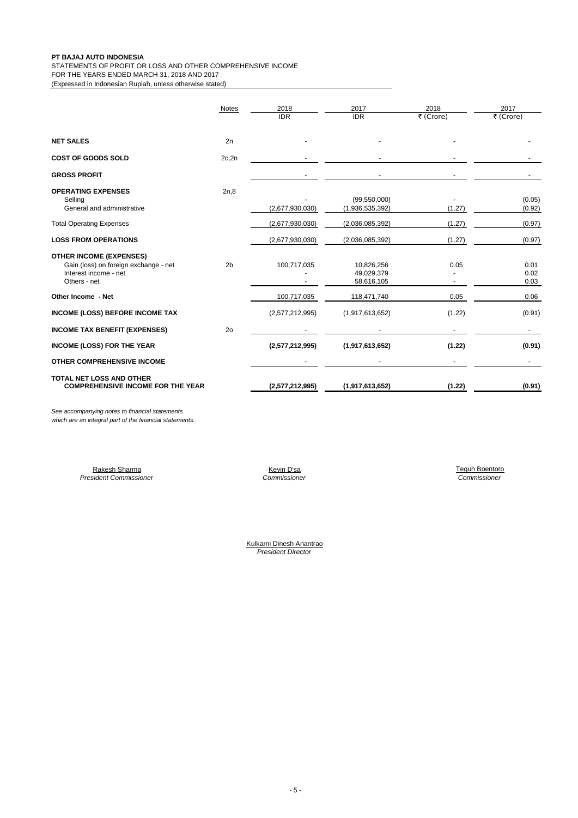STATEMENTS OF PROFIT OR LOSS AND OTHER COMPREHENSIVE INCOME FOR THE YEARS ENDED MARCH 31, 2018 AND 2017

(Expressed in Indonesian Rupiah, unless otherwise stated)

|                                                                                                                  | <b>Notes</b>   | 2018            | 2017                                   | 2018      | 2017                 |
|------------------------------------------------------------------------------------------------------------------|----------------|-----------------|----------------------------------------|-----------|----------------------|
|                                                                                                                  |                | <b>IDR</b>      | <b>IDR</b>                             | ₹ (Crore) | ₹ (Crore)            |
| <b>NET SALES</b>                                                                                                 | 2n             |                 |                                        |           |                      |
|                                                                                                                  |                |                 |                                        |           |                      |
| <b>COST OF GOODS SOLD</b>                                                                                        | 2c, 2n         |                 |                                        |           |                      |
| <b>GROSS PROFIT</b>                                                                                              |                |                 |                                        |           |                      |
| <b>OPERATING EXPENSES</b><br>Selling                                                                             | 2n,8           |                 | (99, 550, 000)                         |           | (0.05)               |
| General and administrative                                                                                       |                | (2,677,930,030) | (1,936,535,392)                        | (1.27)    | (0.92)               |
| <b>Total Operating Expenses</b>                                                                                  |                | (2,677,930,030) | (2,036,085,392)                        | (1.27)    | (0.97)               |
| <b>LOSS FROM OPERATIONS</b>                                                                                      |                | (2,677,930,030) | (2,036,085,392)                        | (1.27)    | (0.97)               |
| <b>OTHER INCOME (EXPENSES)</b><br>Gain (loss) on foreign exchange - net<br>Interest income - net<br>Others - net | 2 <sub>b</sub> | 100,717,035     | 10,826,256<br>49,029,379<br>58,616,105 | 0.05      | 0.01<br>0.02<br>0.03 |
| Other Income - Net                                                                                               |                | 100,717,035     | 118,471,740                            | 0.05      | 0.06                 |
| <b>INCOME (LOSS) BEFORE INCOME TAX</b>                                                                           |                | (2,577,212,995) | (1,917,613,652)                        | (1.22)    | (0.91)               |
| <b>INCOME TAX BENEFIT (EXPENSES)</b>                                                                             | 2 <sub>o</sub> |                 |                                        |           |                      |
| <b>INCOME (LOSS) FOR THE YEAR</b>                                                                                |                | (2,577,212,995) | (1,917,613,652)                        | (1.22)    | (0.91)               |
| <b>OTHER COMPREHENSIVE INCOME</b>                                                                                |                |                 |                                        |           |                      |
| <b>TOTAL NET LOSS AND OTHER</b><br><b>COMPREHENSIVE INCOME FOR THE YEAR</b>                                      |                | (2,577,212,995) | (1,917,613,652)                        | (1.22)    | (0.91)               |

*See accompanying notes to financial statements which are an integral part of the financial statements.*

> Rakesh Sharma Kevin D'sa Teguh Boentoro **President Commissioner**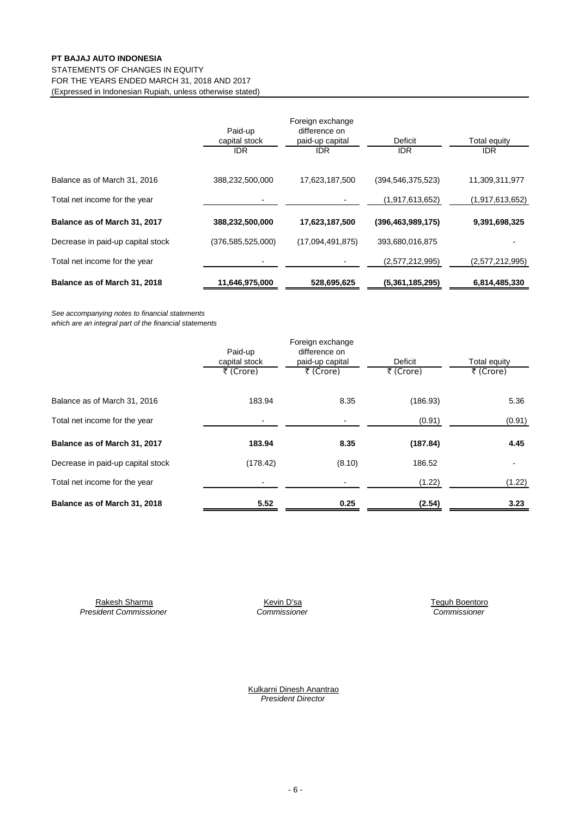#### FOR THE YEARS ENDED MARCH 31, 2018 AND 2017 (Expressed in Indonesian Rupiah, unless otherwise stated) STATEMENTS OF CHANGES IN EQUITY

|                                   | Paid-up<br>capital stock<br><b>IDR</b> | Foreign exchange<br>difference on<br>paid-up capital<br><b>IDR</b> | Deficit<br><b>IDR</b> | Total equity<br><b>IDR</b> |
|-----------------------------------|----------------------------------------|--------------------------------------------------------------------|-----------------------|----------------------------|
| Balance as of March 31, 2016      | 388,232,500,000                        | 17,623,187,500                                                     | (394, 546, 375, 523)  | 11,309,311,977             |
| Total net income for the year     |                                        |                                                                    | (1,917,613,652)       | (1,917,613,652)            |
| Balance as of March 31, 2017      | 388,232,500,000                        | 17,623,187,500                                                     | (396, 463, 989, 175)  | 9,391,698,325              |
| Decrease in paid-up capital stock | (376,585,525,000)                      | (17,094,491,875)                                                   | 393,680,016,875       |                            |
| Total net income for the year     |                                        |                                                                    | (2,577,212,995)       | (2,577,212,995)            |
| Balance as of March 31, 2018      | 11,646,975,000                         | 528,695,625                                                        | (5,361,185,295)       | 6,814,485,330              |

*See accompanying notes to financial statements*

*which are an integral part of the financial statements*

|                                   |               | Foreign exchange |           |                          |
|-----------------------------------|---------------|------------------|-----------|--------------------------|
|                                   | Paid-up       | difference on    |           |                          |
|                                   | capital stock | paid-up capital  | Deficit   | Total equity             |
|                                   | ₹ (Crore)     | ₹ (Crore)        | ₹ (Crore) | ₹ (Crore)                |
| Balance as of March 31, 2016      | 183.94        | 8.35             | (186.93)  | 5.36                     |
| Total net income for the year     |               |                  | (0.91)    | (0.91)                   |
| Balance as of March 31, 2017      | 183.94        | 8.35             | (187.84)  | 4.45                     |
| Decrease in paid-up capital stock | (178.42)      | (8.10)           | 186.52    | $\overline{\phantom{a}}$ |
| Total net income for the year     |               |                  | (1.22)    | (1.22)                   |
| Balance as of March 31, 2018      | 5.52          | 0.25             | (2.54)    | 3.23                     |

Rakesh Sharma Kevin D'sa Teguh Boentoro Kevin D'sa Kevin D'sa Kevin D'sa Kevin Sharma Kevin Disa *President Commissioner Commissioner Commissioner*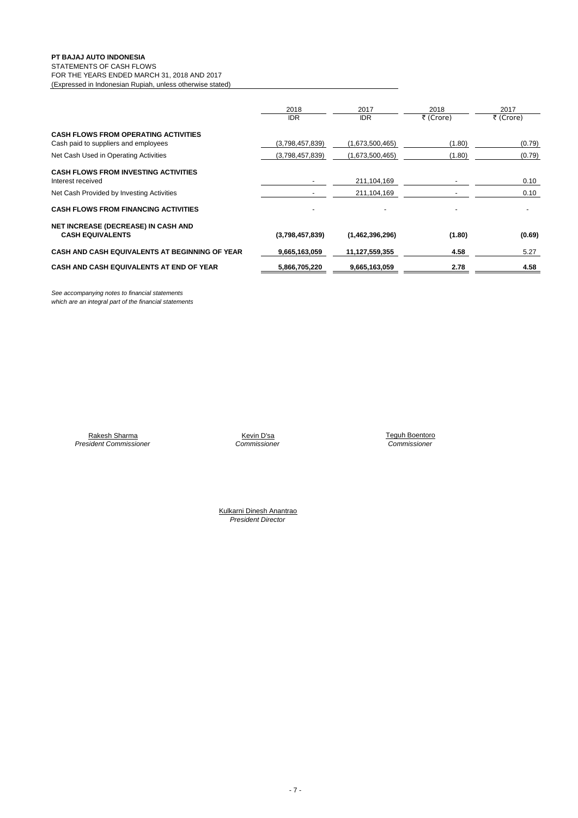#### STATEMENTS OF CASH FLOWS

FOR THE YEARS ENDED MARCH 31, 2018 AND 2017 (Expressed in Indonesian Rupiah, unless otherwise stated)

|                                                                                     | 2018<br><b>IDR</b> | 2017<br><b>IDR</b> | 2018<br>₹ (Crore) | 2017<br>₹ (Crore) |
|-------------------------------------------------------------------------------------|--------------------|--------------------|-------------------|-------------------|
| <b>CASH FLOWS FROM OPERATING ACTIVITIES</b><br>Cash paid to suppliers and employees | (3,798,457,839)    | (1,673,500,465)    | (1.80)            | (0.79)            |
| Net Cash Used in Operating Activities                                               | (3,798,457,839)    | (1,673,500,465)    | (1.80)            | (0.79)            |
| <b>CASH FLOWS FROM INVESTING ACTIVITIES</b><br>Interest received                    |                    | 211,104,169        |                   | 0.10              |
| Net Cash Provided by Investing Activities                                           |                    | 211,104,169        |                   | 0.10              |
| <b>CASH FLOWS FROM FINANCING ACTIVITIES</b>                                         |                    |                    |                   |                   |
| NET INCREASE (DECREASE) IN CASH AND<br><b>CASH EQUIVALENTS</b>                      | (3,798,457,839)    | (1,462,396,296)    | (1.80)            | (0.69)            |
| <b>CASH AND CASH EQUIVALENTS AT BEGINNING OF YEAR</b>                               | 9,665,163,059      | 11,127,559,355     | 4.58              | 5.27              |
| CASH AND CASH EQUIVALENTS AT END OF YEAR                                            | 5,866,705,220      | 9,665,163,059      | 2.78              | 4.58              |

*See accompanying notes to financial statements which are an integral part of the financial statements*

> Rakesh Sharma *President Commissioner*

*Commissioner Commissioner*

Kevin D'sa **Teguh Boentoro New York Commissioner**<br>Commissioner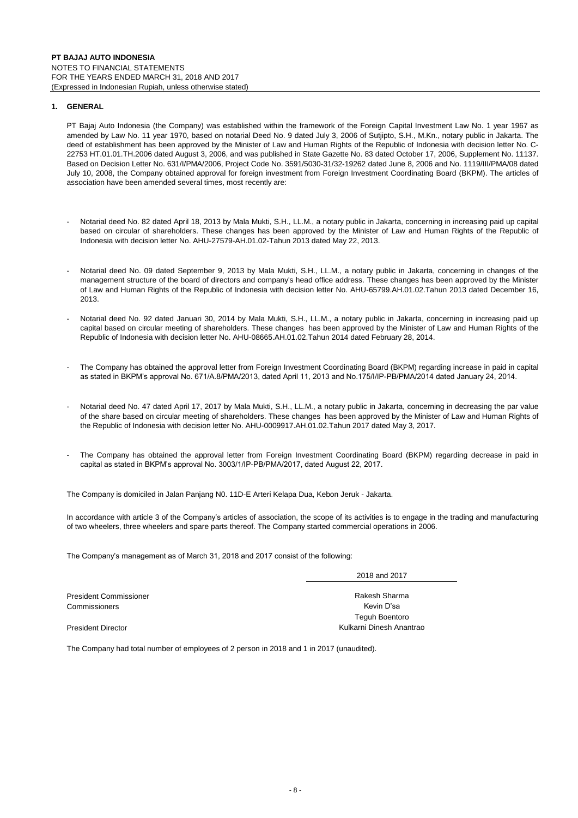#### **1. GENERAL**

PT Bajaj Auto Indonesia (the Company) was established within the framework of the Foreign Capital Investment Law No. 1 year 1967 as amended by Law No. 11 year 1970, based on notarial Deed No. 9 dated July 3, 2006 of Sutjipto, S.H., M.Kn., notary public in Jakarta. The deed of establishment has been approved by the Minister of Law and Human Rights of the Republic of Indonesia with decision letter No. C-22753 HT.01.01.TH.2006 dated August 3, 2006, and was published in State Gazette No. 83 dated October 17, 2006, Supplement No. 11137. Based on Decision Letter No. 631/I/PMA/2006, Project Code No. 3591/5030-31/32-19262 dated June 8, 2006 and No. 1119/III/PMA/08 dated July 10, 2008, the Company obtained approval for foreign investment from Foreign Investment Coordinating Board (BKPM). The articles of association have been amended several times, most recently are:

- Notarial deed No. 82 dated April 18, 2013 by Mala Mukti, S.H., LL.M., a notary public in Jakarta, concerning in increasing paid up capital based on circular of shareholders. These changes has been approved by the Minister of Law and Human Rights of the Republic of Indonesia with decision letter No. AHU-27579-AH.01.02-Tahun 2013 dated May 22, 2013.
- Notarial deed No. 09 dated September 9, 2013 by Mala Mukti, S.H., LL.M., a notary public in Jakarta, concerning in changes of the management structure of the board of directors and company's head office address. These changes has been approved by the Minister of Law and Human Rights of the Republic of Indonesia with decision letter No. AHU-65799.AH.01.02.Tahun 2013 dated December 16, 2013.
- Notarial deed No. 92 dated Januari 30, 2014 by Mala Mukti, S.H., LL.M., a notary public in Jakarta, concerning in increasing paid up capital based on circular meeting of shareholders. These changes has been approved by the Minister of Law and Human Rights of the Republic of Indonesia with decision letter No. AHU-08665.AH.01.02.Tahun 2014 dated February 28, 2014.
- The Company has obtained the approval letter from Foreign Investment Coordinating Board (BKPM) regarding increase in paid in capital as stated in BKPM's approval No. 671/A.8/PMA/2013, dated April 11, 2013 and No.175/I/IP-PB/PMA/2014 dated January 24, 2014.
- Notarial deed No. 47 dated April 17, 2017 by Mala Mukti, S.H., LL.M., a notary public in Jakarta, concerning in decreasing the par value of the share based on circular meeting of shareholders. These changes has been approved by the Minister of Law and Human Rights of the Republic of Indonesia with decision letter No. AHU-0009917.AH.01.02.Tahun 2017 dated May 3, 2017.
- The Company has obtained the approval letter from Foreign Investment Coordinating Board (BKPM) regarding decrease in paid in capital as stated in BKPM's approval No. 3003/1/IP-PB/PMA/2017, dated August 22, 2017.

The Company is domiciled in Jalan Panjang N0. 11D-E Arteri Kelapa Dua, Kebon Jeruk - Jakarta.

In accordance with article 3 of the Company's articles of association, the scope of its activities is to engage in the trading and manufacturing of two wheelers, three wheelers and spare parts thereof. The Company started commercial operations in 2006.

The Company's management as of March 31, 2018 and 2017 consist of the following:

Rakesh Sharma Kevin D'sa Teguh Boentoro 2018 and 2017

Kulkarni Dinesh Anantrao

President Director

President Commissioner Commissioners

The Company had total number of employees of 2 person in 2018 and 1 in 2017 (unaudited).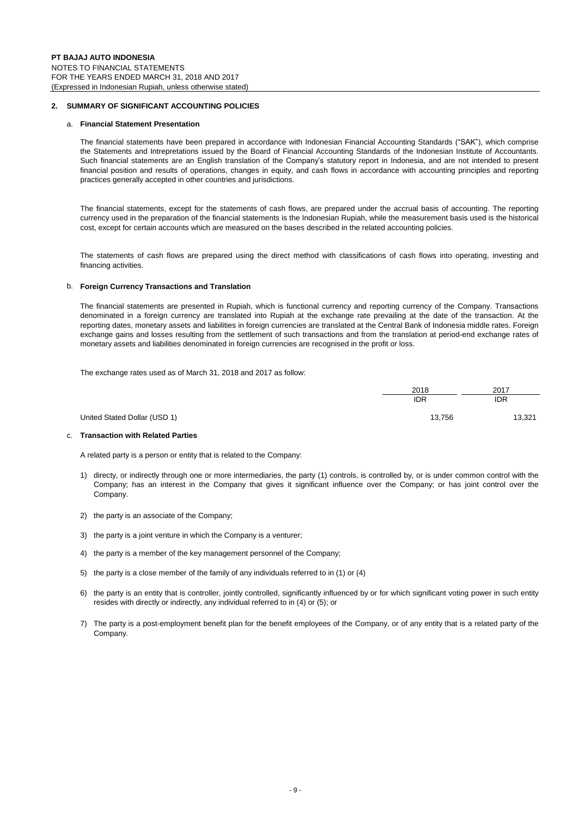#### **2. SUMMARY OF SIGNIFICANT ACCOUNTING POLICIES**

#### a. **Financial Statement Presentation**

The financial statements have been prepared in accordance with Indonesian Financial Accounting Standards ("SAK"), which comprise the Statements and Intrepretations issued by the Board of Financial Accounting Standards of the Indonesian Institute of Accountants. Such financial statements are an English translation of the Company's statutory report in Indonesia, and are not intended to present financial position and results of operations, changes in equity, and cash flows in accordance with accounting principles and reporting practices generally accepted in other countries and jurisdictions.

The financial statements, except for the statements of cash flows, are prepared under the accrual basis of accounting. The reporting currency used in the preparation of the financial statements is the Indonesian Rupiah, while the measurement basis used is the historical cost, except for certain accounts which are measured on the bases described in the related accounting policies.

The statements of cash flows are prepared using the direct method with classifications of cash flows into operating, investing and financing activities.

#### b. **Foreign Currency Transactions and Translation**

The financial statements are presented in Rupiah, which is functional currency and reporting currency of the Company. Transactions denominated in a foreign currency are translated into Rupiah at the exchange rate prevailing at the date of the transaction. At the reporting dates, monetary assets and liabilities in foreign currencies are translated at the Central Bank of Indonesia middle rates. Foreign exchange gains and losses resulting from the settlement of such transactions and from the translation at period-end exchange rates of monetary assets and liabilities denominated in foreign currencies are recognised in the profit or loss.

The exchange rates used as of March 31, 2018 and 2017 as follow:

|                              | 2018       | 2017       |
|------------------------------|------------|------------|
|                              | <b>IDR</b> | <b>IDR</b> |
| United Stated Dollar (USD 1) | 13,756     | 13,321     |

#### c. **Transaction with Related Parties**

A related party is a person or entity that is related to the Company:

- 1) directy, or indirectly through one or more intermediaries, the party (1) controls, is controlled by, or is under common control with the Company; has an interest in the Company that gives it significant influence over the Company; or has joint control over the Company.
- 2) the party is an associate of the Company;
- 3) the party is a joint venture in which the Company is a venturer;
- 4) the party is a member of the key management personnel of the Company;
- 5) the party is a close member of the family of any individuals referred to in (1) or (4)
- 6) the party is an entity that is controller, jointly controlled, significantly influenced by or for which significant voting power in such entity resides with directly or indirectly, any individual referred to in (4) or (5); or
- 7) The party is a post-employment benefit plan for the benefit employees of the Company, or of any entity that is a related party of the Company.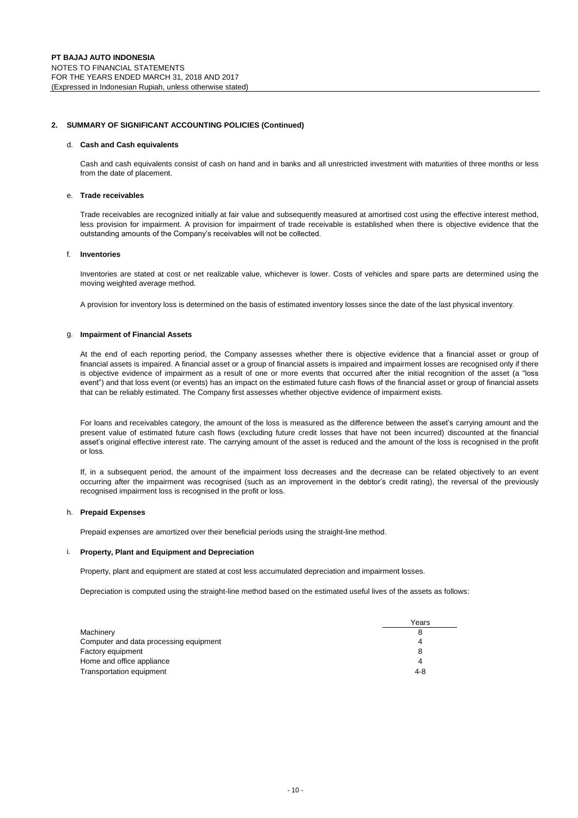#### **2. SUMMARY OF SIGNIFICANT ACCOUNTING POLICIES (Continued)**

#### d. **Cash and Cash equivalents**

Cash and cash equivalents consist of cash on hand and in banks and all unrestricted investment with maturities of three months or less from the date of placement.

#### e. **Trade receivables**

Trade receivables are recognized initially at fair value and subsequently measured at amortised cost using the effective interest method, less provision for impairment. A provision for impairment of trade receivable is established when there is objective evidence that the outstanding amounts of the Company's receivables will not be collected.

#### f. **Inventories**

Inventories are stated at cost or net realizable value, whichever is lower. Costs of vehicles and spare parts are determined using the moving weighted average method.

A provision for inventory loss is determined on the basis of estimated inventory losses since the date of the last physical inventory.

#### g. **Impairment of Financial Assets**

At the end of each reporting period, the Company assesses whether there is objective evidence that a financial asset or group of financial assets is impaired. A financial asset or a group of financial assets is impaired and impairment losses are recognised only if there is objective evidence of impairment as a result of one or more events that occurred after the initial recognition of the asset (a "loss event") and that loss event (or events) has an impact on the estimated future cash flows of the financial asset or group of financial assets that can be reliably estimated. The Company first assesses whether objective evidence of impairment exists.

For loans and receivables category, the amount of the loss is measured as the difference between the asset's carrying amount and the present value of estimated future cash flows (excluding future credit losses that have not been incurred) discounted at the financial asset's original effective interest rate. The carrying amount of the asset is reduced and the amount of the loss is recognised in the profit or loss.

If, in a subsequent period, the amount of the impairment loss decreases and the decrease can be related objectively to an event occurring after the impairment was recognised (such as an improvement in the debtor's credit rating), the reversal of the previously recognised impairment loss is recognised in the profit or loss.

#### h. **Prepaid Expenses**

Prepaid expenses are amortized over their beneficial periods using the straight-line method.

#### i. **Property, Plant and Equipment and Depreciation**

Property, plant and equipment are stated at cost less accumulated depreciation and impairment losses.

Depreciation is computed using the straight-line method based on the estimated useful lives of the assets as follows:

|                                        | Years |
|----------------------------------------|-------|
| Machinery                              |       |
| Computer and data processing equipment |       |
| Factory equipment                      |       |
| Home and office appliance              | Λ     |
| Transportation equipment               | 4-8   |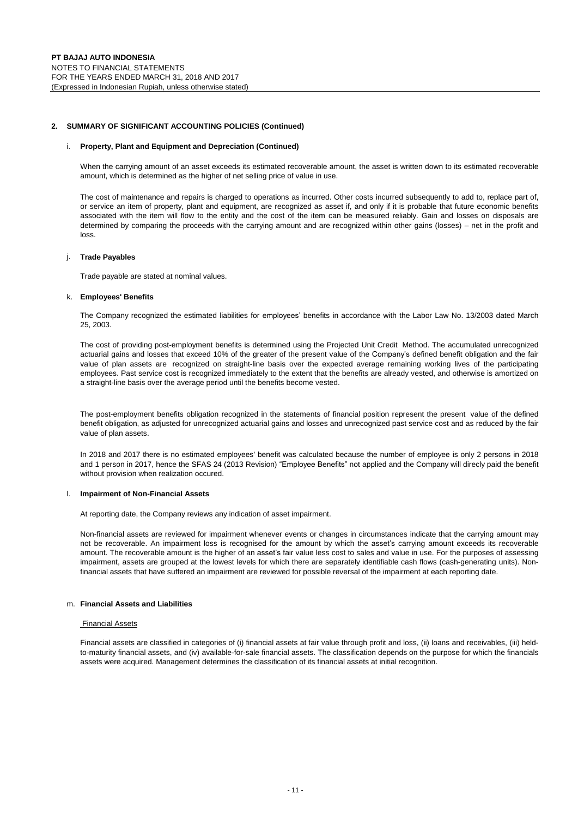#### **2. SUMMARY OF SIGNIFICANT ACCOUNTING POLICIES (Continued)**

#### i. **Property, Plant and Equipment and Depreciation (Continued)**

When the carrying amount of an asset exceeds its estimated recoverable amount, the asset is written down to its estimated recoverable amount, which is determined as the higher of net selling price of value in use.

The cost of maintenance and repairs is charged to operations as incurred. Other costs incurred subsequently to add to, replace part of, or service an item of property, plant and equipment, are recognized as asset if, and only if it is probable that future economic benefits associated with the item will flow to the entity and the cost of the item can be measured reliably. Gain and losses on disposals are determined by comparing the proceeds with the carrying amount and are recognized within other gains (losses) – net in the profit and loss.

#### j. **Trade Payables**

Trade payable are stated at nominal values.

#### k. **Employees' Benefits**

The Company recognized the estimated liabilities for employees' benefits in accordance with the Labor Law No. 13/2003 dated March 25, 2003.

The cost of providing post-employment benefits is determined using the Projected Unit Credit Method. The accumulated unrecognized actuarial gains and losses that exceed 10% of the greater of the present value of the Company's defined benefit obligation and the fair value of plan assets are recognized on straight-line basis over the expected average remaining working lives of the participating employees. Past service cost is recognized immediately to the extent that the benefits are already vested, and otherwise is amortized on a straight-line basis over the average period until the benefits become vested.

The post-employment benefits obligation recognized in the statements of financial position represent the present value of the defined benefit obligation, as adjusted for unrecognized actuarial gains and losses and unrecognized past service cost and as reduced by the fair value of plan assets.

In 2018 and 2017 there is no estimated employees' benefit was calculated because the number of employee is only 2 persons in 2018 and 1 person in 2017, hence the SFAS 24 (2013 Revision) "Employee Benefits" not applied and the Company will direcly paid the benefit without provision when realization occured.

#### l. **Impairment of Non-Financial Assets**

At reporting date, the Company reviews any indication of asset impairment.

Non-financial assets are reviewed for impairment whenever events or changes in circumstances indicate that the carrying amount may not be recoverable. An impairment loss is recognised for the amount by which the asset's carrying amount exceeds its recoverable amount. The recoverable amount is the higher of an asset's fair value less cost to sales and value in use. For the purposes of assessing impairment, assets are grouped at the lowest levels for which there are separately identifiable cash flows (cash-generating units). Nonfinancial assets that have suffered an impairment are reviewed for possible reversal of the impairment at each reporting date.

#### m. **Financial Assets and Liabilities**

#### Financial Assets

Financial assets are classified in categories of (i) financial assets at fair value through profit and loss, (ii) loans and receivables, (iii) heldto-maturity financial assets, and (iv) available-for-sale financial assets. The classification depends on the purpose for which the financials assets were acquired. Management determines the classification of its financial assets at initial recognition.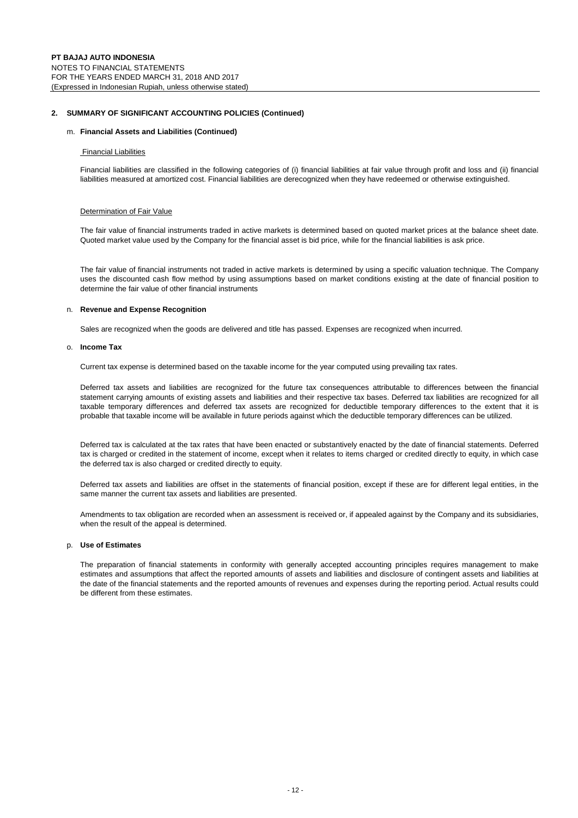#### **2. SUMMARY OF SIGNIFICANT ACCOUNTING POLICIES (Continued)**

#### m. **Financial Assets and Liabilities (Continued)**

#### Financial Liabilities

Financial liabilities are classified in the following categories of (i) financial liabilities at fair value through profit and loss and (ii) financial liabilities measured at amortized cost. Financial liabilities are derecognized when they have redeemed or otherwise extinguished.

#### Determination of Fair Value

The fair value of financial instruments traded in active markets is determined based on quoted market prices at the balance sheet date. Quoted market value used by the Company for the financial asset is bid price, while for the financial liabilities is ask price.

The fair value of financial instruments not traded in active markets is determined by using a specific valuation technique. The Company uses the discounted cash flow method by using assumptions based on market conditions existing at the date of financial position to determine the fair value of other financial instruments

#### n. **Revenue and Expense Recognition**

Sales are recognized when the goods are delivered and title has passed. Expenses are recognized when incurred.

#### o. **Income Tax**

Current tax expense is determined based on the taxable income for the year computed using prevailing tax rates.

Deferred tax assets and liabilities are recognized for the future tax consequences attributable to differences between the financial statement carrying amounts of existing assets and liabilities and their respective tax bases. Deferred tax liabilities are recognized for all taxable temporary differences and deferred tax assets are recognized for deductible temporary differences to the extent that it is probable that taxable income will be available in future periods against which the deductible temporary differences can be utilized.

Deferred tax is calculated at the tax rates that have been enacted or substantively enacted by the date of financial statements. Deferred tax is charged or credited in the statement of income, except when it relates to items charged or credited directly to equity, in which case the deferred tax is also charged or credited directly to equity.

Deferred tax assets and liabilities are offset in the statements of financial position, except if these are for different legal entities, in the same manner the current tax assets and liabilities are presented.

Amendments to tax obligation are recorded when an assessment is received or, if appealed against by the Company and its subsidiaries, when the result of the appeal is determined.

#### p. **Use of Estimates**

The preparation of financial statements in conformity with generally accepted accounting principles requires management to make estimates and assumptions that affect the reported amounts of assets and liabilities and disclosure of contingent assets and liabilities at the date of the financial statements and the reported amounts of revenues and expenses during the reporting period. Actual results could be different from these estimates.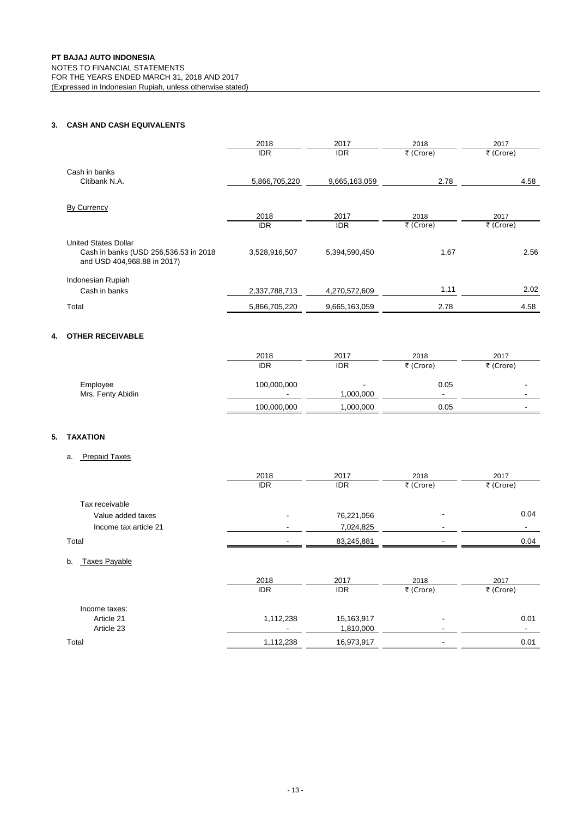## **3. CASH AND CASH EQUIVALENTS**

|                                                                       | 2018          | 2017          | 2018      | 2017      |
|-----------------------------------------------------------------------|---------------|---------------|-----------|-----------|
|                                                                       | <b>IDR</b>    | <b>IDR</b>    | ₹ (Crore) | ₹ (Crore) |
| Cash in banks                                                         |               |               |           |           |
| Citibank N.A.                                                         | 5,866,705,220 | 9,665,163,059 | 2.78      | 4.58      |
|                                                                       |               |               |           |           |
| By Currency                                                           |               |               |           |           |
|                                                                       | 2018          | 2017          | 2018      | 2017      |
|                                                                       | <b>IDR</b>    | <b>IDR</b>    | ₹ (Crore) | ₹ (Crore) |
| <b>United States Dollar</b>                                           |               |               |           |           |
| Cash in banks (USD 256,536.53 in 2018)<br>and USD 404,968.88 in 2017) | 3,528,916,507 | 5,394,590,450 | 1.67      | 2.56      |
| Indonesian Rupiah                                                     |               |               |           |           |
| Cash in banks                                                         | 2,337,788,713 | 4,270,572,609 | 1.11      | 2.02      |
| Total                                                                 | 5,866,705,220 | 9,665,163,059 | 2.78      | 4.58      |

## **4. OTHER RECEIVABLE**

|                   | 2018                     | 2017                     | 2018      | 2017                     |
|-------------------|--------------------------|--------------------------|-----------|--------------------------|
|                   | <b>IDR</b>               | <b>IDR</b>               | ₹ (Crore) | ₹ (Crore)                |
| Employee          | 100,000,000              | $\overline{\phantom{a}}$ | 0.05      | -                        |
| Mrs. Fenty Abidin | $\overline{\phantom{a}}$ | 1,000,000                |           | $\overline{\phantom{a}}$ |
|                   | 100,000,000              | 1,000,000                | 0.05      | $\overline{\phantom{0}}$ |

#### **5. TAXATION**

#### a. Prepaid Taxes

|                            | 2018       | 2017       | 2018      | 2017                     |
|----------------------------|------------|------------|-----------|--------------------------|
|                            | <b>IDR</b> | <b>IDR</b> | ₹ (Crore) | ₹ (Crore)                |
| Tax receivable             |            |            |           |                          |
| Value added taxes          |            | 76,221,056 |           | 0.04                     |
| Income tax article 21      |            | 7,024,825  |           | $\overline{\phantom{a}}$ |
| Total                      |            | 83,245,881 |           | 0.04                     |
| b.<br><b>Taxes Payable</b> |            |            |           |                          |
|                            | 2018       | 2017       | 2018      | 2017                     |
|                            | <b>IDR</b> | <b>IDR</b> | ₹ (Crore) | ₹ (Crore)                |
| Income taxes:              |            |            |           |                          |
| Article 21                 | 1,112,238  | 15,163,917 |           | 0.01                     |
| Article 23                 |            | 1,810,000  |           | -                        |

Total 1,112,238 16,973,917 - 0.01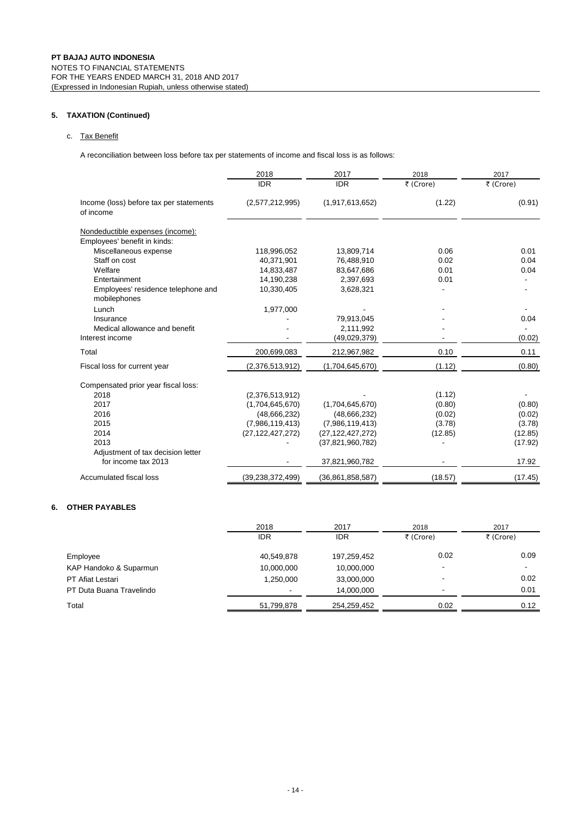#### **5. TAXATION (Continued)**

#### c. Tax Benefit

A reconciliation between loss before tax per statements of income and fiscal loss is as follows:

|                                                      | 2018                | 2017                | 2018      | 2017      |
|------------------------------------------------------|---------------------|---------------------|-----------|-----------|
|                                                      | <b>IDR</b>          | <b>IDR</b>          | ₹ (Crore) | ₹ (Crore) |
| Income (loss) before tax per statements<br>of income | (2,577,212,995)     | (1,917,613,652)     | (1.22)    | (0.91)    |
| Nondeductible expenses (income):                     |                     |                     |           |           |
| Employees' benefit in kinds:                         |                     |                     |           |           |
| Miscellaneous expense                                | 118,996,052         | 13,809,714          | 0.06      | 0.01      |
| Staff on cost                                        | 40,371,901          | 76,488,910          | 0.02      | 0.04      |
| Welfare                                              | 14,833,487          | 83,647,686          | 0.01      | 0.04      |
| Entertainment                                        | 14,190,238          | 2,397,693           | 0.01      |           |
| Employees' residence telephone and<br>mobilephones   | 10,330,405          | 3,628,321           |           |           |
| Lunch                                                | 1,977,000           |                     |           |           |
| Insurance                                            |                     | 79,913,045          |           | 0.04      |
| Medical allowance and benefit                        |                     | 2,111,992           |           |           |
| Interest income                                      |                     | (49,029,379)        |           | (0.02)    |
| Total                                                | 200,699,083         | 212,967,982         | 0.10      | 0.11      |
| Fiscal loss for current year                         | (2,376,513,912)     | (1,704,645,670)     | (1.12)    | (0.80)    |
| Compensated prior year fiscal loss:                  |                     |                     |           |           |
| 2018                                                 | (2,376,513,912)     |                     | (1.12)    |           |
| 2017                                                 | (1,704,645,670)     | (1,704,645,670)     | (0.80)    | (0.80)    |
| 2016                                                 | (48, 666, 232)      | (48,666,232)        | (0.02)    | (0.02)    |
| 2015                                                 | (7,986,119,413)     | (7,986,119,413)     | (3.78)    | (3.78)    |
| 2014                                                 | (27, 122, 427, 272) | (27, 122, 427, 272) | (12.85)   | (12.85)   |
| 2013                                                 |                     | (37, 821, 960, 782) |           | (17.92)   |
| Adjustment of tax decision letter                    |                     |                     |           |           |
| for income tax 2013                                  |                     | 37,821,960,782      |           | 17.92     |
| Accumulated fiscal loss                              | (39, 238, 372, 499) | (36,861,858,587)    | (18.57)   | (17.45)   |

#### **6. OTHER PAYABLES**

|                          | 2018                     | 2017        | 2018                     | 2017      |
|--------------------------|--------------------------|-------------|--------------------------|-----------|
|                          | IDR                      | IDR         | ₹ (Crore)                | ₹ (Crore) |
| Employee                 | 40,549,878               | 197,259,452 | 0.02                     | 0.09      |
| KAP Handoko & Suparmun   | 10,000,000               | 10,000,000  | -                        |           |
| <b>PT Afiat Lestari</b>  | 1,250,000                | 33,000,000  | $\overline{\phantom{a}}$ | 0.02      |
| PT Duta Buana Travelindo | $\overline{\phantom{a}}$ | 14.000.000  | $\overline{\phantom{a}}$ | 0.01      |
| Total                    | 51,799,878               | 254,259,452 | 0.02                     | 0.12      |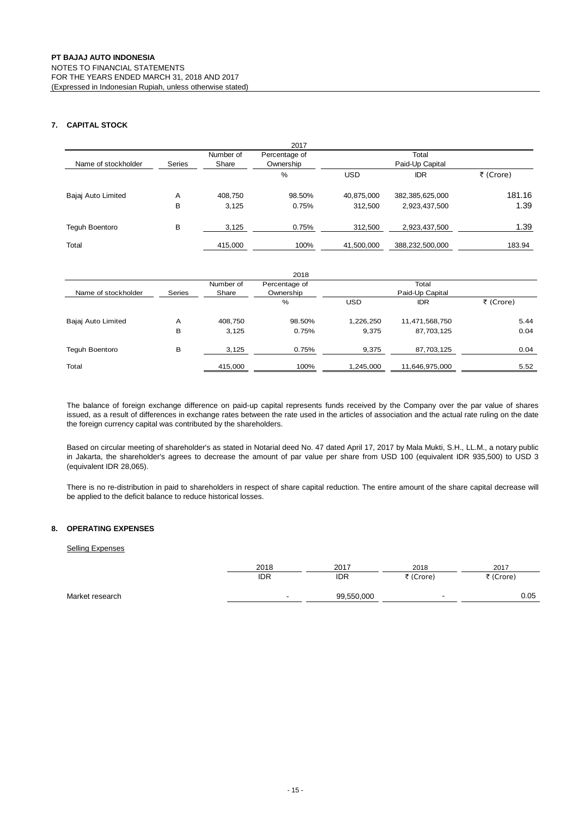### **7. CAPITAL STOCK**

|                       |        |           | 2017          |            |                    |           |
|-----------------------|--------|-----------|---------------|------------|--------------------|-----------|
|                       |        | Number of | Percentage of |            | Total              |           |
| Name of stockholder   | Series | Share     | Ownership     |            | Paid-Up Capital    |           |
|                       |        |           | %             | <b>USD</b> | <b>IDR</b>         | ₹ (Crore) |
| Bajaj Auto Limited    | Α      | 408,750   | 98.50%        | 40,875,000 | 382, 385, 625, 000 | 181.16    |
|                       | В      | 3,125     | 0.75%         | 312,500    | 2,923,437,500      | 1.39      |
| <b>Tequh Boentoro</b> | В      | 3,125     | 0.75%         | 312,500    | 2,923,437,500      | 1.39      |
| Total                 |        | 415,000   | 100%          | 41,500,000 | 388,232,500,000    | 183.94    |

| 2018                |        |                    |                            |            |                          |           |
|---------------------|--------|--------------------|----------------------------|------------|--------------------------|-----------|
| Name of stockholder | Series | Number of<br>Share | Percentage of<br>Ownership |            | Total<br>Paid-Up Capital |           |
|                     |        |                    | %                          | <b>USD</b> | <b>IDR</b>               | ₹ (Crore) |
| Bajaj Auto Limited  | A      | 408,750            | 98.50%                     | 1,226,250  | 11,471,568,750           | 5.44      |
|                     | в      | 3,125              | 0.75%                      | 9.375      | 87,703,125               | 0.04      |
| Teguh Boentoro      | в      | 3,125              | 0.75%                      | 9,375      | 87,703,125               | 0.04      |
| Total               |        | 415,000            | 100%                       | 1,245,000  | 11,646,975,000           | 5.52      |

The balance of foreign exchange difference on paid-up capital represents funds received by the Company over the par value of shares issued, as a result of differences in exchange rates between the rate used in the articles of association and the actual rate ruling on the date the foreign currency capital was contributed by the shareholders.

Based on circular meeting of shareholder's as stated in Notarial deed No. 47 dated April 17, 2017 by Mala Mukti, S.H., LL.M., a notary public in Jakarta, the shareholder's agrees to decrease the amount of par value per share from USD 100 (equivalent IDR 935,500) to USD 3 (equivalent IDR 28,065).

There is no re-distribution in paid to shareholders in respect of share capital reduction. The entire amount of the share capital decrease will be applied to the deficit balance to reduce historical losses.

#### **8. OPERATING EXPENSES**

#### Selling Expenses

|                 | 2018 | 2017       | 2018      | 2017      |
|-----------------|------|------------|-----------|-----------|
|                 | IDR  | IDR        | ₹ (Crore) | ₹ (Crore) |
| Market research |      | 99,550,000 | -         | 0.05      |
|                 |      |            |           |           |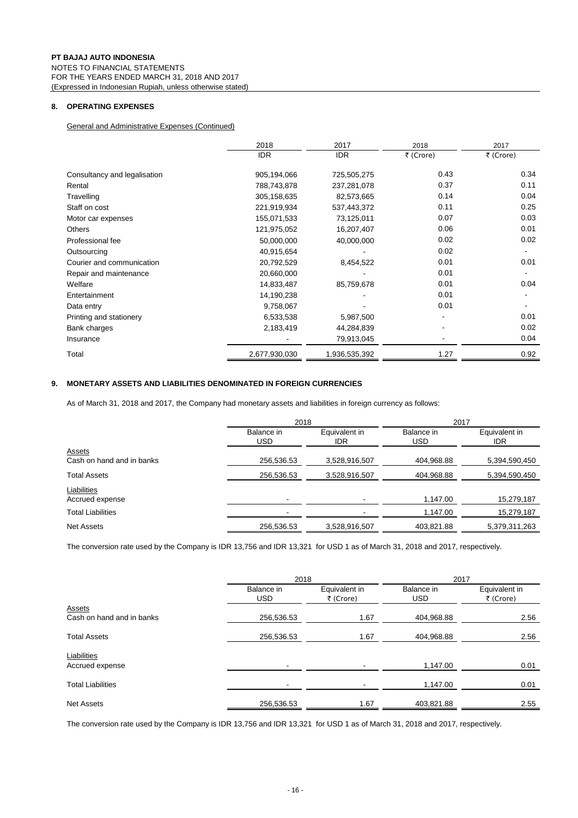#### **8. OPERATING EXPENSES**

General and Administrative Expenses (Continued)

|                              | 2018          | 2017          | 2018      | 2017      |
|------------------------------|---------------|---------------|-----------|-----------|
|                              | <b>IDR</b>    | <b>IDR</b>    | ₹ (Crore) | ₹ (Crore) |
| Consultancy and legalisation | 905,194,066   | 725,505,275   | 0.43      | 0.34      |
| Rental                       | 788,743,878   | 237,281,078   | 0.37      | 0.11      |
| Travelling                   | 305,158,635   | 82,573,665    | 0.14      | 0.04      |
| Staff on cost                | 221,919,934   | 537,443,372   | 0.11      | 0.25      |
| Motor car expenses           | 155,071,533   | 73,125,011    | 0.07      | 0.03      |
| Others                       | 121,975,052   | 16,207,407    | 0.06      | 0.01      |
| Professional fee             | 50,000,000    | 40,000,000    | 0.02      | 0.02      |
| Outsourcing                  | 40,915,654    |               | 0.02      |           |
| Courier and communication    | 20,792,529    | 8,454,522     | 0.01      | 0.01      |
| Repair and maintenance       | 20,660,000    |               | 0.01      |           |
| Welfare                      | 14,833,487    | 85,759,678    | 0.01      | 0.04      |
| Entertainment                | 14,190,238    |               | 0.01      |           |
| Data entry                   | 9,758,067     |               | 0.01      |           |
| Printing and stationery      | 6,533,538     | 5,987,500     |           | 0.01      |
| Bank charges                 | 2,183,419     | 44,284,839    |           | 0.02      |
| Insurance                    |               | 79,913,045    |           | 0.04      |
| Total                        | 2,677,930,030 | 1,936,535,392 | 1.27      | 0.92      |

#### **9. MONETARY ASSETS AND LIABILITIES DENOMINATED IN FOREIGN CURRENCIES**

As of March 31, 2018 and 2017, the Company had monetary assets and liabilities in foreign currency as follows:

|                                     | 2018                     |                      | 2017                     |                      |
|-------------------------------------|--------------------------|----------------------|--------------------------|----------------------|
|                                     | Balance in<br><b>USD</b> | Equivalent in<br>IDR | Balance in<br><b>USD</b> | Equivalent in<br>IDR |
| Assets<br>Cash on hand and in banks | 256,536.53               | 3,528,916,507        | 404,968.88               | 5,394,590,450        |
| <b>Total Assets</b>                 | 256,536.53               | 3,528,916,507        | 404,968.88               | 5,394,590,450        |
| Liabilities<br>Accrued expense      |                          |                      | 1,147.00                 | 15,279,187           |
| <b>Total Liabilities</b>            |                          |                      | 1,147.00                 | 15,279,187           |
| Net Assets                          | 256,536.53               | 3,528,916,507        | 403,821.88               | 5,379,311,263        |

The conversion rate used by the Company is IDR 13,756 and IDR 13,321 for USD 1 as of March 31, 2018 and 2017, respectively.

|                                | 2018                     |                            | 2017                     |                            |
|--------------------------------|--------------------------|----------------------------|--------------------------|----------------------------|
|                                | Balance in<br><b>USD</b> | Equivalent in<br>₹ (Crore) | Balance in<br><b>USD</b> | Equivalent in<br>₹ (Crore) |
| Assets                         |                          |                            |                          |                            |
| Cash on hand and in banks      | 256,536.53               | 1.67                       | 404,968.88               | 2.56                       |
| <b>Total Assets</b>            | 256,536.53               | 1.67                       | 404,968.88               | 2.56                       |
| Liabilities<br>Accrued expense | -                        |                            | 1,147.00                 | 0.01                       |
| <b>Total Liabilities</b>       | -                        |                            | 1.147.00                 | 0.01                       |
| <b>Net Assets</b>              | 256,536.53               | 1.67                       | 403,821.88               | 2.55                       |

The conversion rate used by the Company is IDR 13,756 and IDR 13,321 for USD 1 as of March 31, 2018 and 2017, respectively.